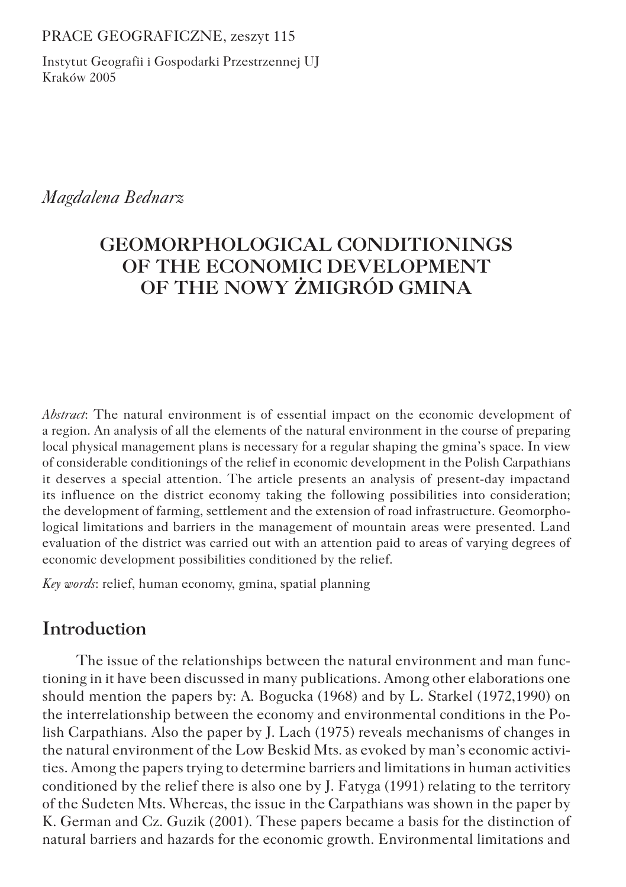PRACE GEOGRAFICZNE, zeszyt 115

Instytut Geografii i Gospodarki Przestrzennej UJ Kraków 2005

*Magdalena Bednarz*

# **GEOMORPHOLOGICAL CONDITIONINGS OF THE ECONOMIC DEVELOPMENT OF THE NOWY ŻMIGRÓD GMINA**

*Abstract*: The natural environment is of essential impact on the economic development of a region. An analysis of all the elements of the natural environment in the course of preparing local physical management plans is necessary for a regular shaping the gmina's space. In view of considerable conditionings of the relief in economic development in the Polish Carpathians it deserves a special attention. The article presents an analysis of present-day impactand its influence on the district economy taking the following possibilities into consideration; the development of farming, settlement and the extension of road infrastructure. Geomorphological limitations and barriers in the management of mountain areas were presented. Land evaluation of the district was carried out with an attention paid to areas of varying degrees of economic development possibilities conditioned by the relief.

*Key words*: relief, human economy, gmina, spatial planning

## **Introduction**

The issue of the relationships between the natural environment and man functioning in it have been discussed in many publications. Among other elaborations one should mention the papers by: A. Bogucka (1968) and by L. Starkel (1972,1990) on the interrelationship between the economy and environmental conditions in the Polish Carpathians. Also the paper by J. Lach (1975) reveals mechanisms of changes in the natural environment of the Low Beskid Mts. as evoked by man's economic activities. Among the papers trying to determine barriers and limitations in human activities conditioned by the relief there is also one by J. Fatyga (1991) relating to the territory of the Sudeten Mts. Whereas, the issue in the Carpathians was shown in the paper by K. German and Cz. Guzik (2001). These papers became a basis for the distinction of natural barriers and hazards for the economic growth. Environmental limitations and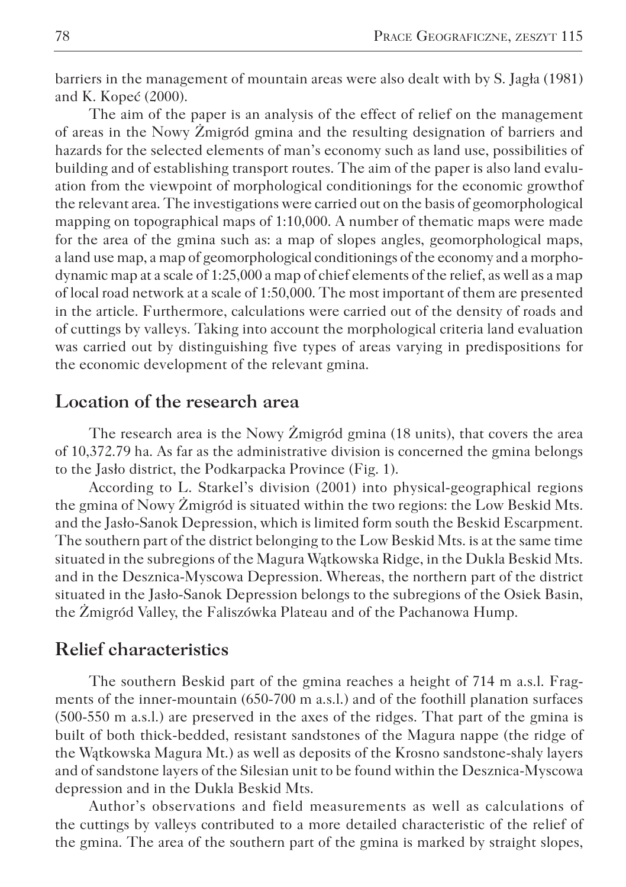barriers in the management of mountain areas were also dealt with by S. Jagła (1981) and K. Kopeć (2000).

The aim of the paper is an analysis of the effect of relief on the management of areas in the Nowy Żmigród gmina and the resulting designation of barriers and hazards for the selected elements of man's economy such as land use, possibilities of building and of establishing transport routes. The aim of the paper is also land evaluation from the viewpoint of morphological conditionings for the economic growthof the relevant area. The investigations were carried out on the basis of geomorphological mapping on topographical maps of 1:10,000. A number of thematic maps were made for the area of the gmina such as: a map of slopes angles, geomorphological maps, a land use map, a map of geomorphological conditionings of the economy and a morphodynamic map at a scale of 1:25,000 a map of chief elements of the relief, as well as a map of local road network at a scale of 1:50,000. The most important of them are presented in the article. Furthermore, calculations were carried out of the density of roads and of cuttings by valleys. Taking into account the morphological criteria land evaluation was carried out by distinguishing five types of areas varying in predispositions for the economic development of the relevant gmina.

## **Location of the research area**

The research area is the Nowy Żmigród gmina (18 units), that covers the area of 10,372.79 ha. As far as the administrative division is concerned the gmina belongs to the Jasło district, the Podkarpacka Province (Fig. 1).

According to L. Starkel's division (2001) into physical-geographical regions the gmina of Nowy Żmigród is situated within the two regions: the Low Beskid Mts. and the Jasło-Sanok Depression, which is limited form south the Beskid Escarpment. The southern part of the district belonging to the Low Beskid Mts. is at the same time situated in the subregions of the Magura Wątkowska Ridge, in the Dukla Beskid Mts. and in the Desznica-Myscowa Depression. Whereas, the northern part of the district situated in the Jasło-Sanok Depression belongs to the subregions of the Osiek Basin, the Żmigród Valley, the Faliszówka Plateau and of the Pachanowa Hump.

#### **Relief characteristics**

The southern Beskid part of the gmina reaches a height of 714 m a.s.l. Fragments of the inner-mountain (650-700 m a.s.l.) and of the foothill planation surfaces (500-550 m a.s.l.) are preserved in the axes of the ridges. That part of the gmina is built of both thick-bedded, resistant sandstones of the Magura nappe (the ridge of the Wątkowska Magura Mt.) as well as deposits of the Krosno sandstone-shaly layers and of sandstone layers of the Silesian unit to be found within the Desznica-Myscowa depression and in the Dukla Beskid Mts.

Author's observations and field measurements as well as calculations of the cuttings by valleys contributed to a more detailed characteristic of the relief of the gmina. The area of the southern part of the gmina is marked by straight slopes,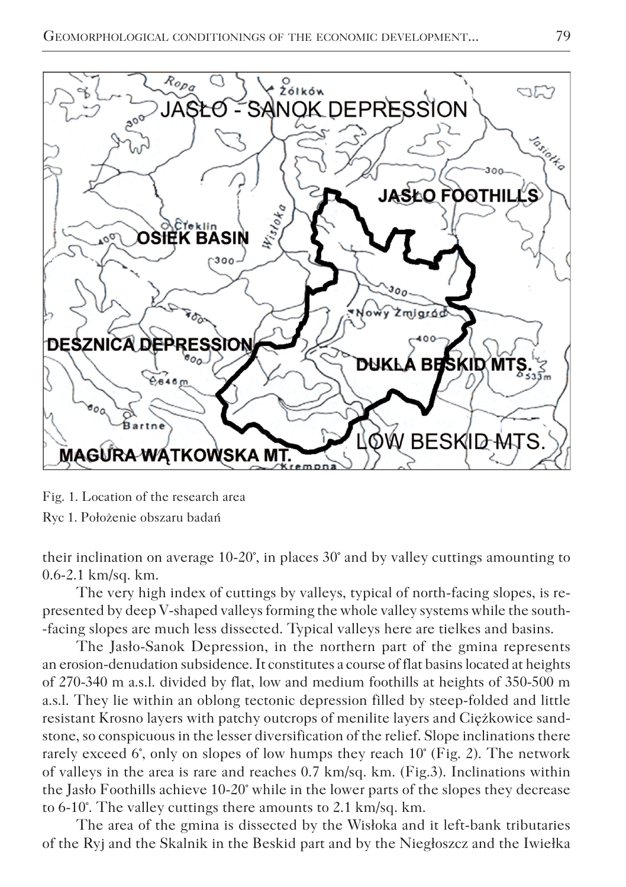

Fig. 1. Location of the research area Ryc 1. Położenie obszaru badań

their inclination on average 10-20°, in places 30° and by valley cuttings amounting to 0.6-2.1 km/sq. km.

The very high index of cuttings by valleys, typical of north-facing slopes, is represented by deep V-shaped valleys forming the whole valley systems while the south- -facing slopes are much less dissected. Typical valleys here are tielkes and basins.

The Jasło-Sanok Depression, in the northern part of the gmina represents an erosion-denudation subsidence. It constitutes a course of flat basins located at heights of 270-340 m a.s.l. divided by flat, low and medium foothills at heights of 350-500 m a.s.l. They lie within an oblong tectonic depression filled by steep-folded and little resistant Krosno layers with patchy outcrops of menilite layers and Ciężkowice sandstone, so conspicuous in the lesser diversification of the relief. Slope inclinations there rarely exceed 6°, only on slopes of low humps they reach  $10^{\circ}$  (Fig. 2). The network of valleys in the area is rare and reaches 0.7 km/sq. km. (Fig.3). Inclinations within the Jasło Foothills achieve 10-20° while in the lower parts of the slopes they decrease to 6-10°. The valley cuttings there amounts to 2.1 km/sq. km.

The area of the gmina is dissected by the Wisłoka and it left-bank tributaries of the Ryj and the Skalnik in the Beskid part and by the Niegłoszcz and the Iwiełka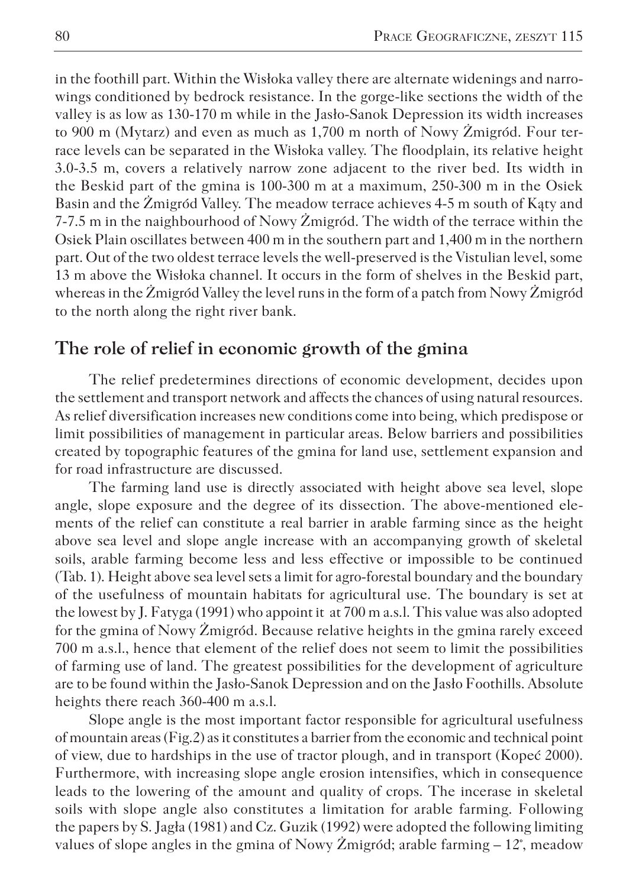in the foothill part. Within the Wisłoka valley there are alternate widenings and narrowings conditioned by bedrock resistance. In the gorge-like sections the width of the valley is as low as 130-170 m while in the Jasło-Sanok Depression its width increases to 900 m (Mytarz) and even as much as 1,700 m north of Nowy Żmigród. Four terrace levels can be separated in the Wisłoka valley. The floodplain, its relative height 3.0-3.5 m, covers a relatively narrow zone adjacent to the river bed. Its width in the Beskid part of the gmina is 100-300 m at a maximum, 250-300 m in the Osiek Basin and the Żmigród Valley. The meadow terrace achieves 4-5 m south of Kąty and 7-7.5 m in the naighbourhood of Nowy Żmigród. The width of the terrace within the Osiek Plain oscillates between 400 m in the southern part and 1,400 m in the northern part. Out of the two oldest terrace levels the well-preserved is the Vistulian level, some 13 m above the Wisłoka channel. It occurs in the form of shelves in the Beskid part, whereas in the Żmigród Valley the level runs in the form of a patch from Nowy Żmigród to the north along the right river bank.

## **The role of relief in economic growth of the gmina**

The relief predetermines directions of economic development, decides upon the settlement and transport network and affects the chances of using natural resources. As relief diversification increases new conditions come into being, which predispose or limit possibilities of management in particular areas. Below barriers and possibilities created by topographic features of the gmina for land use, settlement expansion and for road infrastructure are discussed.

The farming land use is directly associated with height above sea level, slope angle, slope exposure and the degree of its dissection. The above-mentioned elements of the relief can constitute a real barrier in arable farming since as the height above sea level and slope angle increase with an accompanying growth of skeletal soils, arable farming become less and less effective or impossible to be continued (Tab. 1). Height above sea level sets a limit for agro-forestal boundary and the boundary of the usefulness of mountain habitats for agricultural use. The boundary is set at the lowest by J. Fatyga (1991) who appoint it at 700 m a.s.l. This value was also adopted for the gmina of Nowy Żmigród. Because relative heights in the gmina rarely exceed 700 m a.s.l., hence that element of the relief does not seem to limit the possibilities of farming use of land. The greatest possibilities for the development of agriculture are to be found within the Jasło-Sanok Depression and on the Jasło Foothills. Absolute heights there reach 360-400 m a.s.l.

Slope angle is the most important factor responsible for agricultural usefulness of mountain areas (Fig.2) as it constitutes a barrier from the economic and technical point of view, due to hardships in the use of tractor plough, and in transport (Kopeć 2000). Furthermore, with increasing slope angle erosion intensifies, which in consequence leads to the lowering of the amount and quality of crops. The incerase in skeletal soils with slope angle also constitutes a limitation for arable farming. Following the papers by S. Jagła (1981) and Cz. Guzik (1992) were adopted the following limiting values of slope angles in the gmina of Nowy Żmigród; arable farming – 12°, meadow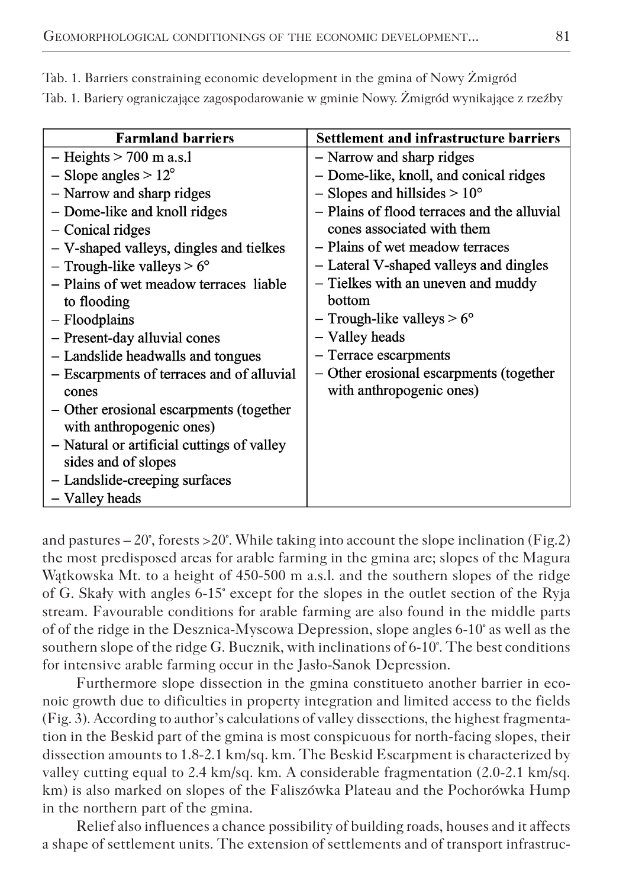| <b>Farmland barriers</b>                   | <b>Settlement and infrastructure barriers</b> |
|--------------------------------------------|-----------------------------------------------|
| $-$ Heights $> 700$ m a.s.1                | - Narrow and sharp ridges                     |
| $-$ Slope angles $> 12^{\circ}$            | - Dome-like, knoll, and conical ridges        |
| - Narrow and sharp ridges                  | $-$ Slopes and hillsides $> 10^{\circ}$       |
| - Dome-like and knoll ridges               | - Plains of flood terraces and the alluvial   |
| $-$ Conical ridges                         | cones associated with them                    |
| - V-shaped valleys, dingles and tielkes    | - Plains of wet meadow terraces               |
| - Trough-like valleys $> 6^{\circ}$        | - Lateral V-shaped valleys and dingles        |
| - Plains of wet meadow terraces liable     | - Tielkes with an uneven and muddy            |
| to flooding                                | bottom                                        |
| $-$ Floodplains                            | - Trough-like valleys $> 6^{\circ}$           |
| - Present-day alluvial cones               | - Valley heads                                |
| - Landslide headwalls and tongues          | - Terrace escarpments                         |
| - Escarpments of terraces and of alluvial  | - Other erosional escarpments (together       |
| cones                                      | with anthropogenic ones)                      |
| - Other erosional escarpments (together    |                                               |
| with anthropogenic ones)                   |                                               |
| - Natural or artificial cuttings of valley |                                               |
| sides and of slopes                        |                                               |
| - Landslide-creeping surfaces              |                                               |
| - Valley heads                             |                                               |

Tab. 1. Barriers constraining economic development in the gmina of Nowy Żmigród

Tab. 1. Bariery ograniczające zagospodarowanie w gminie Nowy. Żmigród wynikające z rzeźby

and pastures  $-20^{\circ}$ , forests  $>20^{\circ}$ . While taking into account the slope inclination (Fig.2) the most predisposed areas for arable farming in the gmina are; slopes of the Magura Wątkowska Mt. to a height of 450-500 m a.s.l. and the southern slopes of the ridge of G. Skały with angles 6-15° except for the slopes in the outlet section of the Ryja stream. Favourable conditions for arable farming are also found in the middle parts of of the ridge in the Desznica-Myscowa Depression, slope angles 6-10° as well as the southern slope of the ridge G. Bucznik, with inclinations of 6-10°. The best conditions for intensive arable farming occur in the Jasło-Sanok Depression.

Furthermore slope dissection in the gmina constitueto another barrier in econoic growth due to dificulties in property integration and limited access to the fields (Fig. 3). According to author's calculations of valley dissections, the highest fragmentation in the Beskid part of the gmina is most conspicuous for north-facing slopes, their dissection amounts to 1.8-2.1 km/sq. km. The Beskid Escarpment is characterized by valley cutting equal to 2.4 km/sq. km. A considerable fragmentation (2.0-2.1 km/sq. km) is also marked on slopes of the Faliszówka Plateau and the Pochorówka Hump in the northern part of the gmina.

Relief also influences a chance possibility of building roads, houses and it affects a shape of settlement units. The extension of settlements and of transport infrastruc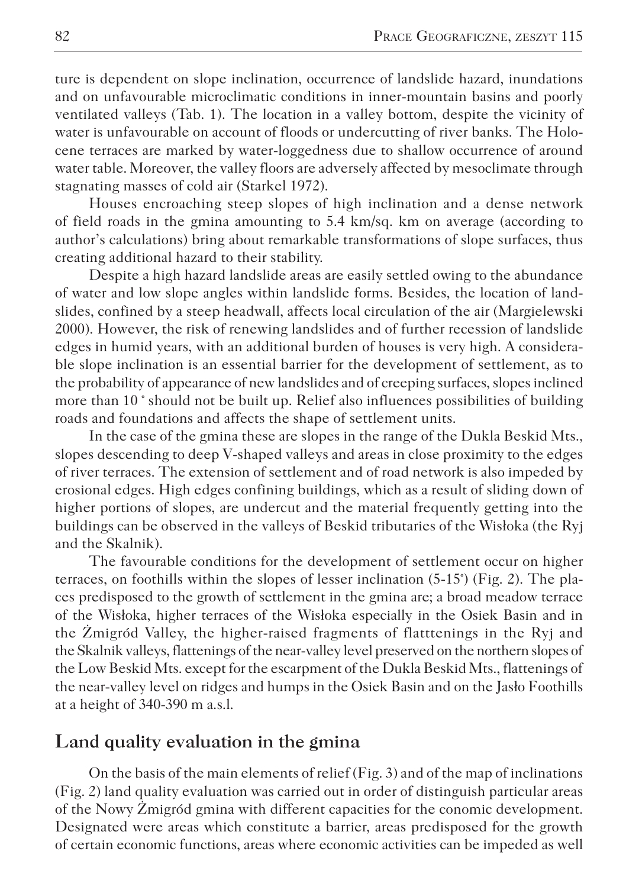ture is dependent on slope inclination, occurrence of landslide hazard, inundations and on unfavourable microclimatic conditions in inner-mountain basins and poorly ventilated valleys (Tab. 1). The location in a valley bottom, despite the vicinity of water is unfavourable on account of floods or undercutting of river banks. The Holocene terraces are marked by water-loggedness due to shallow occurrence of around water table. Moreover, the valley floors are adversely affected by mesoclimate through stagnating masses of cold air (Starkel 1972).

Houses encroaching steep slopes of high inclination and a dense network of field roads in the gmina amounting to 5.4 km/sq. km on average (according to author's calculations) bring about remarkable transformations of slope surfaces, thus creating additional hazard to their stability.

Despite a high hazard landslide areas are easily settled owing to the abundance of water and low slope angles within landslide forms. Besides, the location of landslides, confined by a steep headwall, affects local circulation of the air (Margielewski 2000). However, the risk of renewing landslides and of further recession of landslide edges in humid years, with an additional burden of houses is very high. A considerable slope inclination is an essential barrier for the development of settlement, as to the probability of appearance of new landslides and of creeping surfaces, slopes inclined more than 10 ° should not be built up. Relief also influences possibilities of building roads and foundations and affects the shape of settlement units.

In the case of the gmina these are slopes in the range of the Dukla Beskid Mts., slopes descending to deep V-shaped valleys and areas in close proximity to the edges of river terraces. The extension of settlement and of road network is also impeded by erosional edges. High edges confining buildings, which as a result of sliding down of higher portions of slopes, are undercut and the material frequently getting into the buildings can be observed in the valleys of Beskid tributaries of the Wisłoka (the Ryj and the Skalnik).

The favourable conditions for the development of settlement occur on higher terraces, on foothills within the slopes of lesser inclination (5-15°) (Fig. 2). The places predisposed to the growth of settlement in the gmina are; a broad meadow terrace of the Wisłoka, higher terraces of the Wisłoka especially in the Osiek Basin and in the Żmigród Valley, the higher-raised fragments of flatttenings in the Ryj and the Skalnik valleys, flattenings of the near-valley level preserved on the northern slopes of the Low Beskid Mts. except for the escarpment of the Dukla Beskid Mts., flattenings of the near-valley level on ridges and humps in the Osiek Basin and on the Jasło Foothills at a height of 340-390 m a.s.l.

## **Land quality evaluation in the gmina**

On the basis of the main elements of relief (Fig. 3) and of the map of inclinations (Fig. 2) land quality evaluation was carried out in order of distinguish particular areas of the Nowy Żmigród gmina with different capacities for the conomic development. Designated were areas which constitute a barrier, areas predisposed for the growth of certain economic functions, areas where economic activities can be impeded as well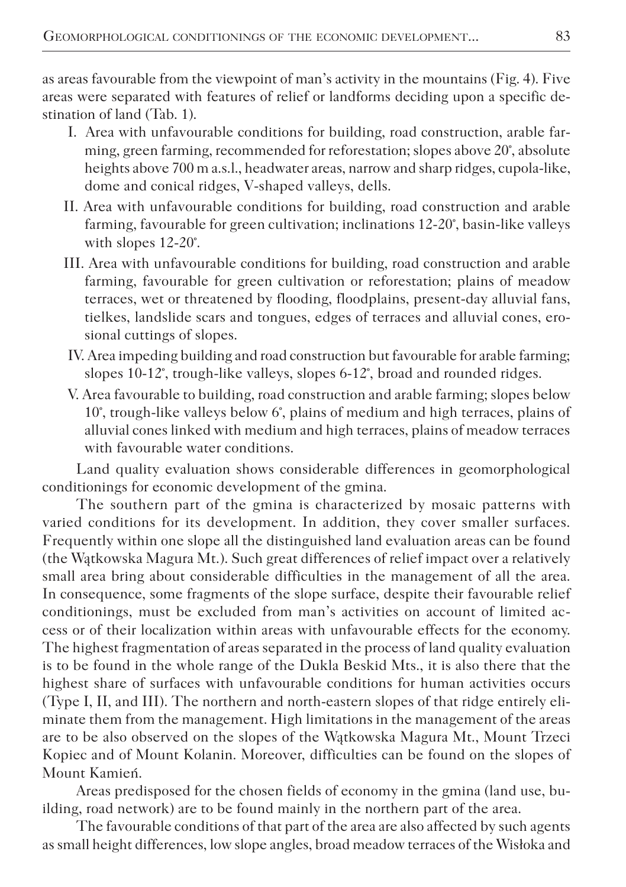as areas favourable from the viewpoint of man's activity in the mountains (Fig. 4). Five areas were separated with features of relief or landforms deciding upon a specific destination of land (Tab. 1).

- I. Area with unfavourable conditions for building, road construction, arable farming, green farming, recommended for reforestation; slopes above 20°, absolute heights above 700 m a.s.l., headwater areas, narrow and sharp ridges, cupola-like, dome and conical ridges, V-shaped valleys, dells.
- II. Area with unfavourable conditions for building, road construction and arable farming, favourable for green cultivation; inclinations 12-20°, basin-like valleys with slopes 12-20°.
- III. Area with unfavourable conditions for building, road construction and arable farming, favourable for green cultivation or reforestation; plains of meadow terraces, wet or threatened by flooding, floodplains, present-day alluvial fans, tielkes, landslide scars and tongues, edges of terraces and alluvial cones, erosional cuttings of slopes.
- IV. Area impeding building and road construction but favourable for arable farming; slopes 10-12°, trough-like valleys, slopes 6-12°, broad and rounded ridges.
- V. Area favourable to building, road construction and arable farming; slopes below 10°, trough-like valleys below 6°, plains of medium and high terraces, plains of alluvial cones linked with medium and high terraces, plains of meadow terraces with favourable water conditions.

Land quality evaluation shows considerable differences in geomorphological conditionings for economic development of the gmina.

The southern part of the gmina is characterized by mosaic patterns with varied conditions for its development. In addition, they cover smaller surfaces. Frequently within one slope all the distinguished land evaluation areas can be found (the Wątkowska Magura Mt.). Such great differences of relief impact over a relatively small area bring about considerable difficulties in the management of all the area. In consequence, some fragments of the slope surface, despite their favourable relief conditionings, must be excluded from man's activities on account of limited access or of their localization within areas with unfavourable effects for the economy. The highest fragmentation of areas separated in the process of land quality evaluation is to be found in the whole range of the Dukla Beskid Mts., it is also there that the highest share of surfaces with unfavourable conditions for human activities occurs (Type I, II, and III). The northern and north-eastern slopes of that ridge entirely eliminate them from the management. High limitations in the management of the areas are to be also observed on the slopes of the Wątkowska Magura Mt., Mount Trzeci Kopiec and of Mount Kolanin. Moreover, difficulties can be found on the slopes of Mount Kamień.

Areas predisposed for the chosen fields of economy in the gmina (land use, building, road network) are to be found mainly in the northern part of the area.

The favourable conditions of that part of the area are also affected by such agents as small height differences, low slope angles, broad meadow terraces of the Wisłoka and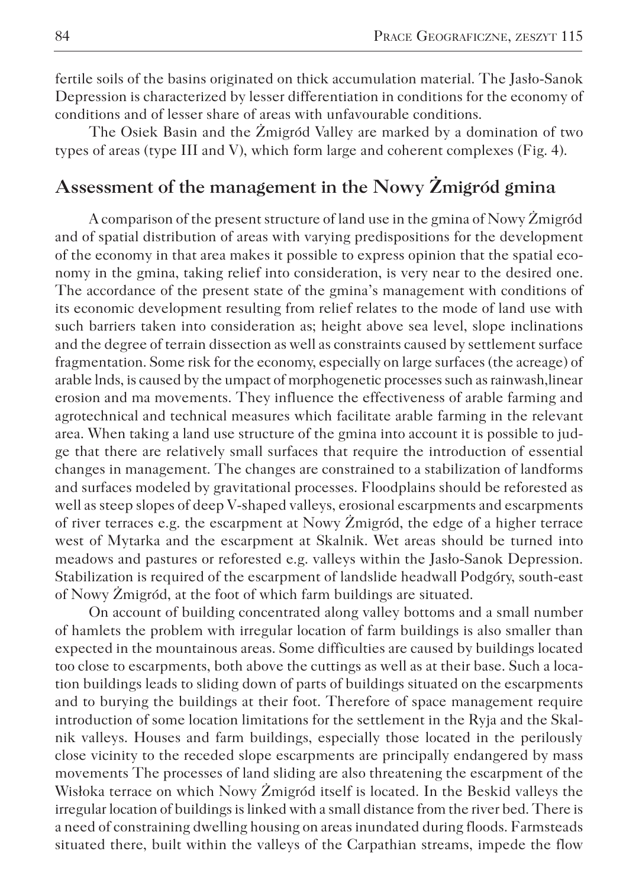fertile soils of the basins originated on thick accumulation material. The Jasło-Sanok Depression is characterized by lesser differentiation in conditions for the economy of conditions and of lesser share of areas with unfavourable conditions.

The Osiek Basin and the Żmigród Valley are marked by a domination of two types of areas (type III and V), which form large and coherent complexes (Fig. 4).

## **Assessment of the management in the Nowy Żmigród gmina**

A comparison of the present structure of land use in the gmina of Nowy Żmigród and of spatial distribution of areas with varying predispositions for the development of the economy in that area makes it possible to express opinion that the spatial economy in the gmina, taking relief into consideration, is very near to the desired one. The accordance of the present state of the gmina's management with conditions of its economic development resulting from relief relates to the mode of land use with such barriers taken into consideration as; height above sea level, slope inclinations and the degree of terrain dissection as well as constraints caused by settlement surface fragmentation. Some risk for the economy, especially on large surfaces (the acreage) of arable lnds, is caused by the umpact of morphogenetic processes such as rainwash,linear erosion and ma movements. They influence the effectiveness of arable farming and agrotechnical and technical measures which facilitate arable farming in the relevant area. When taking a land use structure of the gmina into account it is possible to judge that there are relatively small surfaces that require the introduction of essential changes in management. The changes are constrained to a stabilization of landforms and surfaces modeled by gravitational processes. Floodplains should be reforested as well as steep slopes of deep V-shaped valleys, erosional escarpments and escarpments of river terraces e.g. the escarpment at Nowy Żmigród, the edge of a higher terrace west of Mytarka and the escarpment at Skalnik. Wet areas should be turned into meadows and pastures or reforested e.g. valleys within the Jasło-Sanok Depression. Stabilization is required of the escarpment of landslide headwall Podgóry, south-east of Nowy Żmigród, at the foot of which farm buildings are situated.

On account of building concentrated along valley bottoms and a small number of hamlets the problem with irregular location of farm buildings is also smaller than expected in the mountainous areas. Some difficulties are caused by buildings located too close to escarpments, both above the cuttings as well as at their base. Such a location buildings leads to sliding down of parts of buildings situated on the escarpments and to burying the buildings at their foot. Therefore of space management require introduction of some location limitations for the settlement in the Ryja and the Skalnik valleys. Houses and farm buildings, especially those located in the perilously close vicinity to the receded slope escarpments are principally endangered by mass movements The processes of land sliding are also threatening the escarpment of the Wisłoka terrace on which Nowy Żmigród itself is located. In the Beskid valleys the irregular location of buildings is linked with a small distance from the river bed. There is a need of constraining dwelling housing on areas inundated during floods. Farmsteads situated there, built within the valleys of the Carpathian streams, impede the flow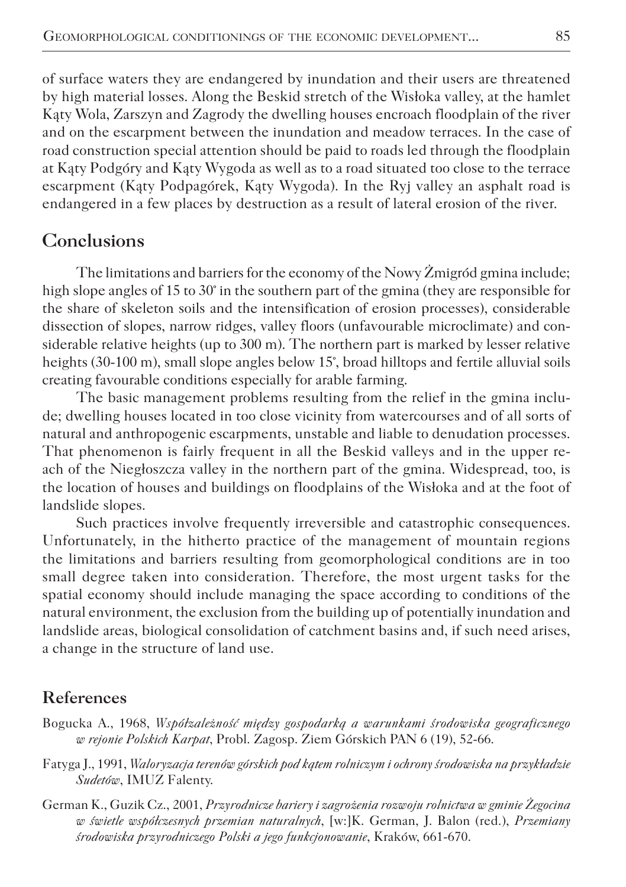of surface waters they are endangered by inundation and their users are threatened by high material losses. Along the Beskid stretch of the Wisłoka valley, at the hamlet Kąty Wola, Zarszyn and Zagrody the dwelling houses encroach floodplain of the river and on the escarpment between the inundation and meadow terraces. In the case of road construction special attention should be paid to roads led through the floodplain at Kąty Podgóry and Kąty Wygoda as well as to a road situated too close to the terrace escarpment (Kąty Podpagórek, Kąty Wygoda). In the Ryj valley an asphalt road is endangered in a few places by destruction as a result of lateral erosion of the river.

## **Conclusions**

The limitations and barriers for the economy of the Nowy Żmigród gmina include; high slope angles of 15 to 30° in the southern part of the gmina (they are responsible for the share of skeleton soils and the intensification of erosion processes), considerable dissection of slopes, narrow ridges, valley floors (unfavourable microclimate) and considerable relative heights (up to 300 m). The northern part is marked by lesser relative heights (30-100 m), small slope angles below 15°, broad hilltops and fertile alluvial soils creating favourable conditions especially for arable farming.

The basic management problems resulting from the relief in the gmina include; dwelling houses located in too close vicinity from watercourses and of all sorts of natural and anthropogenic escarpments, unstable and liable to denudation processes. That phenomenon is fairly frequent in all the Beskid valleys and in the upper reach of the Niegłoszcza valley in the northern part of the gmina. Widespread, too, is the location of houses and buildings on floodplains of the Wisłoka and at the foot of landslide slopes.

Such practices involve frequently irreversible and catastrophic consequences. Unfortunately, in the hitherto practice of the management of mountain regions the limitations and barriers resulting from geomorphological conditions are in too small degree taken into consideration. Therefore, the most urgent tasks for the spatial economy should include managing the space according to conditions of the natural environment, the exclusion from the building up of potentially inundation and landslide areas, biological consolidation of catchment basins and, if such need arises, a change in the structure of land use.

### **References**

- Bogucka A., 1968, *Współzależność między gospodarką a warunkami środowiska geograficznego w rejonie Polskich Karpat*, Probl. Zagosp. Ziem Górskich PAN 6 (19), 52-66.
- Fatyga J., 1991, *Waloryzacja terenów górskich pod kątem rolniczym i ochrony środowiska na przykładzie Sudetów*, IMUZ Falenty.
- German K., Guzik Cz., 2001, *Przyrodnicze bariery i zagrożenia rozwoju rolnictwa w gminie Żegocina w świetle współczesnych przemian naturalnych*, [w:]K. German, J. Balon (red.), *Przemiany środowiska przyrodniczego Polski a jego funkcjonowanie*, Kraków, 661-670.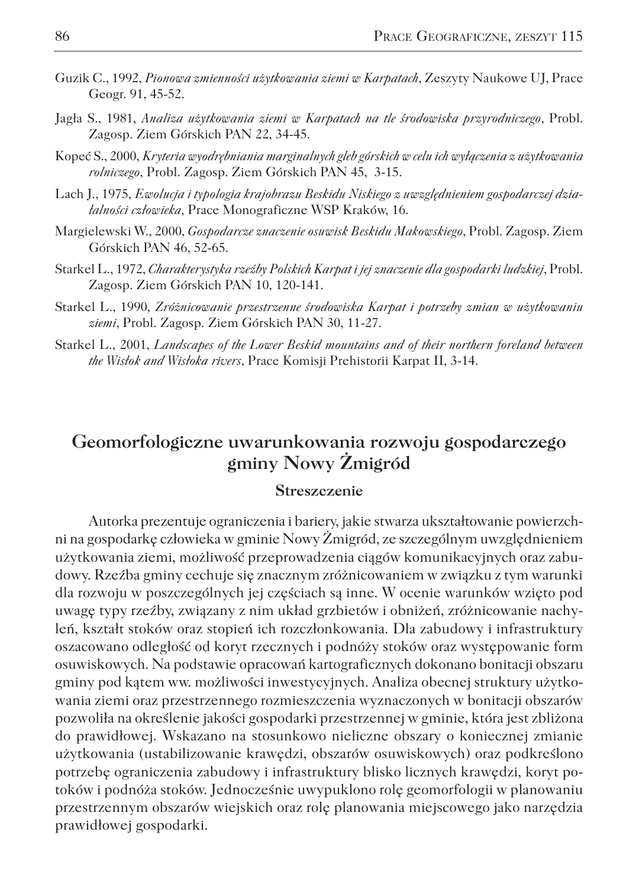- Guzik C., 1992, *Pionowa zmienności użytkowania ziemi w Karpatach*, Zeszyty Naukowe UJ, Prace Geogr. 91, 45-52.
- Jagła S., 1981, *Analiza użytkowania ziemi w Karpatach na tle środowiska przyrodniczego*, Probl. Zagosp. Ziem Górskich PAN 22, 34-45.
- Kopeć S., 2000, *Kryteria wyodrębniania marginalnych gleb górskich w celu ich wyłączenia z użytkowania rolniczego*, Probl. Zagosp. Ziem Górskich PAN 45, 3-15.
- Lach J., 1975, *Ewolucja i typologia krajobrazu Beskidu Niskiego z uwzględnieniem gospodarczej działalności człowieka,* Prace Monograficzne WSP Kraków, 16.
- Margielewski W., 2000, *Gospodarcze znaczenie osuwisk Beskidu Makowskiego*, Probl. Zagosp. Ziem Górskich PAN 46, 52-65.
- Starkel L., 1972, *Charakterystyka rzeźby Polskich Karpat i jej znaczenie dla gospodarki ludzkiej*, Probl. Zagosp. Ziem Górskich PAN 10, 120-141.
- Starkel L., 1990, *Zróżnicowanie przestrzenne środowiska Karpat i potrzeby zmian w użytkowaniu ziemi*, Probl. Zagosp. Ziem Górskich PAN 30, 11-27.
- Starkel L., 2001, *Landscapes of the Lower Beskid mountains and of their northern foreland between the Wisłok and Wisłoka rivers*, Prace Komisji Prehistorii Karpat II, 3-14.

## **Geomorfologiczne uwarunkowania rozwoju gospodarczego gminy Nowy Żmigród**

#### **Streszczenie**

Autorka prezentuje ograniczenia i bariery, jakie stwarza ukształtowanie powierzchni na gospodarkę człowieka w gminie Nowy Żmigród, ze szczególnym uwzględnieniem użytkowania ziemi, możliwość przeprowadzenia ciągów komunikacyjnych oraz zabudowy. Rzeźba gminy cechuje się znacznym zróżnicowaniem w związku z tym warunki dla rozwoju w poszczególnych jej częściach są inne. W ocenie warunków wzięto pod uwagę typy rzeźby, związany z nim układ grzbietów i obniżeń, zróżnicowanie nachyleń, kształt stoków oraz stopień ich rozczłonkowania. Dla zabudowy i infrastruktury oszacowano odległość od koryt rzecznych i podnóży stoków oraz występowanie form osuwiskowych. Na podstawie opracowań kartograficznych dokonano bonitacji obszaru gminy pod kątem ww. możliwości inwestycyjnych. Analiza obecnej struktury użytkowania ziemi oraz przestrzennego rozmieszczenia wyznaczonych w bonitacji obszarów pozwoliła na określenie jakości gospodarki przestrzennej w gminie, która jest zbliżona do prawidłowej. Wskazano na stosunkowo nieliczne obszary o koniecznej zmianie użytkowania (ustabilizowanie krawędzi, obszarów osuwiskowych) oraz podkreślono potrzebę ograniczenia zabudowy i infrastruktury blisko licznych krawędzi, koryt potoków i podnóża stoków. Jednocześnie uwypuklono rolę geomorfologii w planowaniu przestrzennym obszarów wiejskich oraz rolę planowania miejscowego jako narzędzia prawidłowej gospodarki.